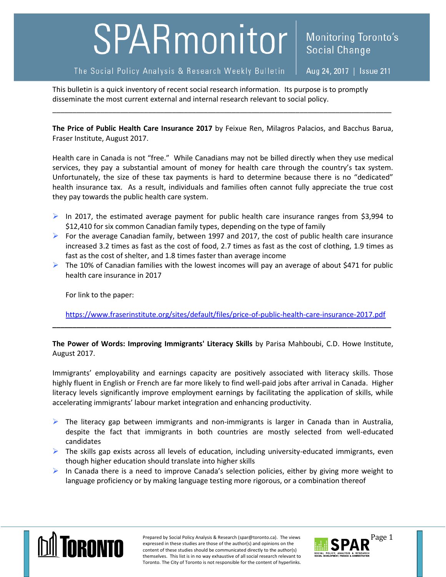## SPARmonitor

## The Social Policy Analysis & Research Weekly Bulletin

Aug 24, 2017 | Issue 211

**Social Change** 

**Monitoring Toronto's** 

This bulletin is a quick inventory of recent social research information. Its purpose is to promptly disseminate the most current external and internal research relevant to social policy.

**The Price of Public Health Care Insurance 2017** by Feixue Ren, Milagros Palacios, and Bacchus Barua, Fraser Institute, August 2017.

\_\_\_\_\_\_\_\_\_\_\_\_\_\_\_\_\_\_\_\_\_\_\_\_\_\_\_\_\_\_\_\_\_\_\_\_\_\_\_\_\_\_\_\_\_\_\_\_\_\_\_\_\_\_\_\_\_\_\_\_\_\_\_\_\_\_\_\_\_\_\_\_\_\_\_\_\_\_\_\_\_\_\_\_\_

Health care in Canada is not "free." While Canadians may not be billed directly when they use medical services, they pay a substantial amount of money for health care through the country's tax system. Unfortunately, the size of these tax payments is hard to determine because there is no "dedicated" health insurance tax. As a result, individuals and families often cannot fully appreciate the true cost they pay towards the public health care system.

- In 2017, the estimated average payment for public health care insurance ranges from \$3,994 to \$12,410 for six common Canadian family types, depending on the type of family
- For the average Canadian family, between 1997 and 2017, the cost of public health care insurance increased 3.2 times as fast as the cost of food, 2.7 times as fast as the cost of clothing, 1.9 times as fast as the cost of shelter, and 1.8 times faster than average income
- $\triangleright$  The 10% of Canadian families with the lowest incomes will pay an average of about \$471 for public health care insurance in 2017

For link to the paper:

<https://www.fraserinstitute.org/sites/default/files/price-of-public-health-care-insurance-2017.pdf> **\_\_\_\_\_\_\_\_\_\_\_\_\_\_\_\_\_\_\_\_\_\_\_\_\_\_\_\_\_\_\_\_\_\_\_\_\_\_\_\_\_\_\_\_\_\_\_\_\_\_\_\_\_\_\_\_\_\_\_\_\_\_\_\_\_\_\_\_\_\_\_\_\_\_\_\_\_\_\_\_\_\_\_\_\_**

**The Power of Words: Improving Immigrants' Literacy Skills** by Parisa Mahboubi, C.D. Howe Institute, August 2017.

Immigrants' employability and earnings capacity are positively associated with literacy skills. Those highly fluent in English or French are far more likely to find well-paid jobs after arrival in Canada. Higher literacy levels significantly improve employment earnings by facilitating the application of skills, while accelerating immigrants' labour market integration and enhancing productivity.

- $\triangleright$  The literacy gap between immigrants and non-immigrants is larger in Canada than in Australia, despite the fact that immigrants in both countries are mostly selected from well-educated candidates
- $\triangleright$  The skills gap exists across all levels of education, including university-educated immigrants, even though higher education should translate into higher skills
- $\triangleright$  In Canada there is a need to improve Canada's selection policies, either by giving more weight to language proficiency or by making language testing more rigorous, or a combination thereof



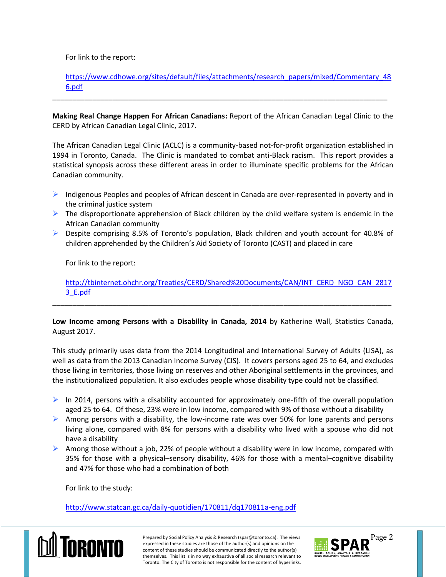For link to the report:

[https://www.cdhowe.org/sites/default/files/attachments/research\\_papers/mixed/Commentary\\_48](https://www.cdhowe.org/sites/default/files/attachments/research_papers/mixed/Commentary_486.pdf) [6.pdf](https://www.cdhowe.org/sites/default/files/attachments/research_papers/mixed/Commentary_486.pdf)

**Making Real Change Happen For African Canadians:** Report of the African Canadian Legal Clinic to the CERD by African Canadian Legal Clinic, 2017.

\_\_\_\_\_\_\_\_\_\_\_\_\_\_\_\_\_\_\_\_\_\_\_\_\_\_\_\_\_\_\_\_\_\_\_\_\_\_\_\_\_\_\_\_\_\_\_\_\_\_\_\_\_\_\_\_\_\_\_\_\_\_\_\_\_\_\_\_\_\_\_\_\_\_\_\_\_\_\_\_\_\_\_\_

The African Canadian Legal Clinic (ACLC) is a community-based not-for-profit organization established in 1994 in Toronto, Canada. The Clinic is mandated to combat anti-Black racism. This report provides a statistical synopsis across these different areas in order to illuminate specific problems for the African Canadian community.

- $\triangleright$  Indigenous Peoples and peoples of African descent in Canada are over-represented in poverty and in the criminal justice system
- $\triangleright$  The disproportionate apprehension of Black children by the child welfare system is endemic in the African Canadian community
- $\triangleright$  Despite comprising 8.5% of Toronto's population, Black children and youth account for 40.8% of children apprehended by the Children's Aid Society of Toronto (CAST) and placed in care

For link to the report:

[http://tbinternet.ohchr.org/Treaties/CERD/Shared%20Documents/CAN/INT\\_CERD\\_NGO\\_CAN\\_2817](http://tbinternet.ohchr.org/Treaties/CERD/Shared%20Documents/CAN/INT_CERD_NGO_CAN_28173_E.pdf) [3\\_E.pdf](http://tbinternet.ohchr.org/Treaties/CERD/Shared%20Documents/CAN/INT_CERD_NGO_CAN_28173_E.pdf)

**Low Income among Persons with a Disability in Canada, 2014** by Katherine Wall, Statistics Canada, August 2017.

\_\_\_\_\_\_\_\_\_\_\_\_\_\_\_\_\_\_\_\_\_\_\_\_\_\_\_\_\_\_\_\_\_\_\_\_\_\_\_\_\_\_\_\_\_\_\_\_\_\_\_\_\_\_\_\_\_\_\_\_\_\_\_\_\_\_\_\_\_\_\_\_\_\_\_\_\_\_\_\_\_\_\_\_\_

This study primarily uses data from the 2014 Longitudinal and International Survey of Adults (LISA), as well as data from the 2013 Canadian Income Survey (CIS). It covers persons aged 25 to 64, and excludes those living in territories, those living on reserves and other Aboriginal settlements in the provinces, and the institutionalized population. It also excludes people whose disability type could not be classified.

- In 2014, persons with a disability accounted for approximately one-fifth of the overall population aged 25 to 64. Of these, 23% were in low income, compared with 9% of those without a disability
- $\triangleright$  Among persons with a disability, the low-income rate was over 50% for lone parents and persons living alone, compared with 8% for persons with a disability who lived with a spouse who did not have a disability
- Among those without a job, 22% of people without a disability were in low income, compared with 35% for those with a physical–sensory disability, 46% for those with a mental–cognitive disability and 47% for those who had a combination of both

For link to the study:

<http://www.statcan.gc.ca/daily-quotidien/170811/dq170811a-eng.pdf>



Prepared by Social Policy Analysis & Research (spar@toronto.ca). The views Page 2 expressed in these studies are those of the author(s) and opinions on the content of these studies should be communicated directly to the author(s) themselves. This list is in no way exhaustive of all social research relevant to Toronto. The City of Toronto is not responsible for the content of hyperlinks.